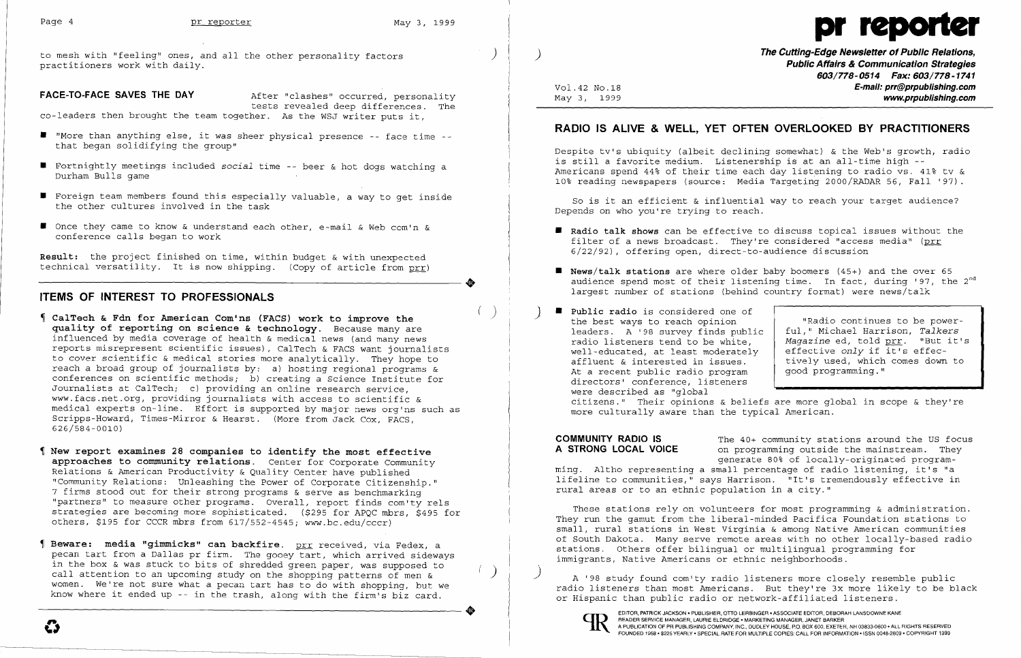

to mesh with "feeling" ones, and all the other personality factors ) practitioners work with daily.

**FACE-TO-FACE SAVES THE DAY After "clashes" occurred, personality** tests revealed deep differences. The

co-leaders then brought the team together. As the WSJ writer puts it,

**Result:** the project finished on time, within budget & with unexpected technical versatility. It is now shipping. (Copy of article from prr) Result: the project finished on time, within budget & with unexpected<br>technical versatility. It is now shipping. (Copy of article from <u>prr</u>)<br>TIEMS OF INTEDEST TO DEOFESSIONALS

- ( ) **CalTech & Fdn for American Comins (FACS) work to improve the quality of reporting on science & technology.** Because many are influenced by media coverage of health & medical news (and many news reports misrepresent scientific issues), CalTech & FACS want journalists to cover scientific & medical stories more analytically. They hope to reach a broad group of journalists by: a) hosting regional programs & reach a broad group of journalists by: a) hosting regional programs &<br>conferences on scientific methods; b) creating a Science Institute for Journalists at CalTech; c) providing an online research service, www.facs.net.org. providing journalists with access to scientific & medical experts on-line. Effort is supported by major news org'ns such as Scripps-Howard, Times-Mirror & Hearst. (More from Jack Cox, FACS, 626/584-0010)
- **New report examines 28 companies to identify the most effective approaches to community relations.** Center for Corporate Community Relations & American Productivity & Quality Center have published "Community Relations: Unleashing the Power of Corporate Citizenship." 7 firms stood out for their strong programs & serve as benchmarking "partners" to measure other programs. Overall, report finds com'ty rels strategies are becoming more sophisticated. (\$295 for APQC mbrs, \$495 for others, \$195 for CCCR mbrs from 617/552-4545; www.bc.edu/cccr)
- **Beware: media "gimmicks" can backfire.** prr received, via Fedex, a pecan tart from a Dallas pr firm. The gooey tart, which arrived sideways in the box & was stuck to bits of shredded green paper, was supposed to call attention to an upcoming study on the shopping patterns of men  $\alpha$ women. We're not sure what a pecan tart has to do with shopping, but we know where it ended up -- in the trash, along with the firm's biz card. expression where it ends up - In the trash, along with the fifth's Diz card.

- • "More than anything else, it was sheer physical presence -- face time that began solidifying the group"
- • Fortnightly meetings included *social* time -- beer & hot dogs watching a Durham Bulls game
- $\blacksquare$  Foreign team members found this especially valuable, a way to get inside the other cultures involved in the task
- Once they came to know & understand each other, e-mail & Web com'n & conference calls began to work

### **ITEMS OF INTEREST TO PROFESSIONALS**

**• News/talk stations** are where older baby boomers (45+) and the over 65 audience spend most of their listening time. In fact, during '97, the  $2^{nd}$ 

the best ways to reach opinion "Radio continues to be powerleaders. A '98 survey finds public | ful," Michael Harrison, *Talkers*<br>radio listeners tend to be white. | Magazine ed. told prr. "But it's ful, " Michael Harrison, Talkers radio listeners tend to be white, <br>well-educated, at least moderately effective *only* if it's effecaffluent & interested in issues.  $\begin{vmatrix} \text{tively used, which comes down to} \end{vmatrix}$ 

**COMMUNITY RADIO IS** The 40+ community stations around the US focus<br>**A STRONG LOCAL VOICE** on programming outside the mainstream. They on programming outside the mainstream. They generate 80% of locally-originated programming. Altho representing a small percentage of radio listening, it's "a lifeline to communities," says Harrison. "It's tremendously effective in rural areas or to an ethnic population in a city."

These stations rely on volunteers for most programming & administration. They run the gamut from the liberal-minded Pacifica Foundation stations to small, rural stations in West Virginia & among Native American communities of South Dakota. Many serve remote areas with no other locally-based radio stations. Others offer bilingual or multilingual programming for immigrants, Native Americans or ethnic neighborhoods.

) **The Cutting-Edge Newsletter of Public Relations, Public Affairs & Communication Strategies**  *603/778-0514 Fax: 603/778-1741*  Vol.42 NO.18 **E-mail: prr@prpublishing.com**  May 3, 1999 **www.prpublishing.com** 

## **RADIO IS ALIVE & WELL, YET OFTEN OVERLOOKED BY PRACTITIONERS**

Despite tv's ubiquity (albeit declining somewhat) & the Web's growth, radio is still a favorite medium. Listenership is at an all-time high - Americans spend 44% of their time each day listening to radio vs. 41% tv & 10% reading newspapers (source: Media Targeting 2000/RADAR 56, Fall '97).

So is it an efficient & influential way to reach your target audience? Depends on who you're trying to reach.

**• Radio talk shows** can be effective to discuss topical issues without the

- filter of a news broadcast. They're considered "access media" (prr 6/22/92), offering open, direct-to-audience discussion
- largest number of stations (behind country format) were news/talk
- ) **• Public radio** is considered one of well-educated, at least moderately<br>affluent & interested in issues. At a recent public radio program  $\int$  good programming." directors' conference, listeners were described as "global more culturally aware than the typical American.

citizens." Their opinions & beliefs are more global in scope & they're

) A '98 study found com'ty radio listeners more closely resemble public radio listeners than most Americans. But they're 3x more likely to be black or Hispanic than public radio or network-affiliated listeners .